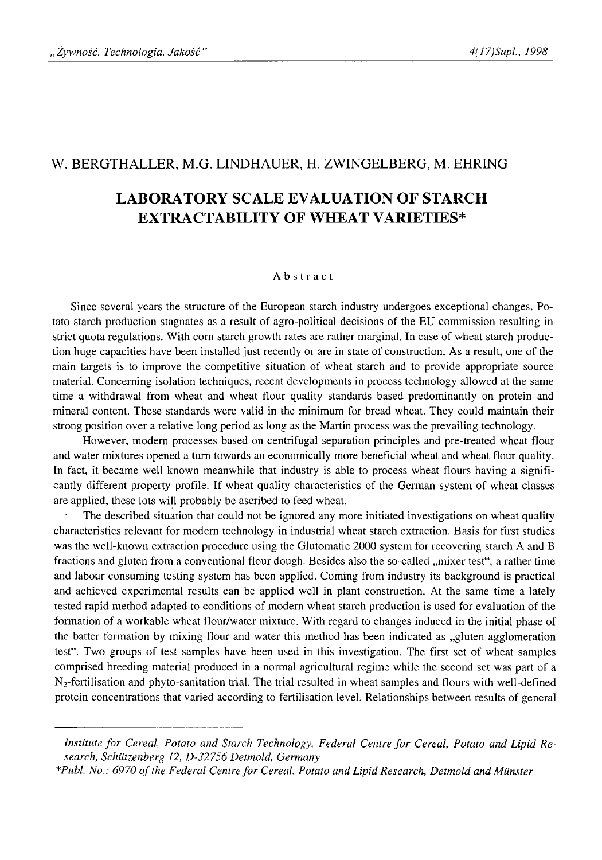# W. BERGTHALLER, M.G. LINDHAUER, H. ZWINGELBERG, M. EHRING

# **LABORATORY SCALE EVALUATION OF STARCH EXTRACT ABILITY OF WHEAT VARIETIES\***

#### Abstract

Since several years the structure of the European starch industry undergoes exceptional changes. Potato starch production stagnates as a result of agro-political decisions of the EU commission resulting in strict quota regulations. With corn starch growth rates are rather marginal. In case of wheat starch production huge capacities have been installed just recently or are in state of construction. As a result, one of the main targets is to improve the competitive situation of wheat starch and to provide appropriate source material. Concerning isolation techniques, recent developments in process technology allowed at the same time a withdrawal from wheat and wheat flour quality standards based predominantly on protein and mineral content. These standards were valid in the minimum for bread wheat. They could maintain their strong position over a relative long period as long as the Martin process was the prevailing technology.

However, modern processes based on centrifugal separation principles and pre-treated wheat flour and water mixtures opened a turn towards an economically more beneficial wheat and wheat flour quality. In fact, it became well known meanwhile that industry is able to process wheat flours having a significantly different property profile. If wheat quality characteristics of the German system of wheat classes are applied, these lots will probably be ascribed to feed wheat.

The described situation that could not be ignored any more initiated investigations on wheat quality characteristics relevant for modem technology in industrial wheat starch extraction. Basis for first studies was the well-known extraction procedure using the Glutomatic 2000 system for recovering starch A and B fractions and gluten from a conventional flour dough. Besides also the so-called "mixer test", a rather time and labour consuming testing system has been applied. Coming from industry its background is practical and achieved experimental results can be applied well in plant construction. At the same time a lately tested rapid method adapted to conditions of modern wheat starch production is used for evaluation of the formation of a workable wheat flour/water mixture. With regard to changes induced in the initial phase of the batter formation by mixing flour and water this method has been indicated as "gluten agglomeration test". Two groups of test samples have been used in this investigation. The first set of wheat samples comprised breeding material produced in a normal agricultural regime while the second set was part of a  $N_2$ -fertilisation and phyto-sanitation trial. The trial resulted in wheat samples and flours with well-defined protein concentrations that varied according to fertilisation level. Relationships between results of general

Institute for Cereal, Potato and Starch Technology, Federal Centre for Cereal, Potato and Lipid Re*search, Schiitzenberg 12, D-32756 Detmold, Germany*

*<sup>\*</sup>Publ. No.: 6970 o f the Federal Centre for Cereal, Potato and Lipid Research, Detmold and Munster*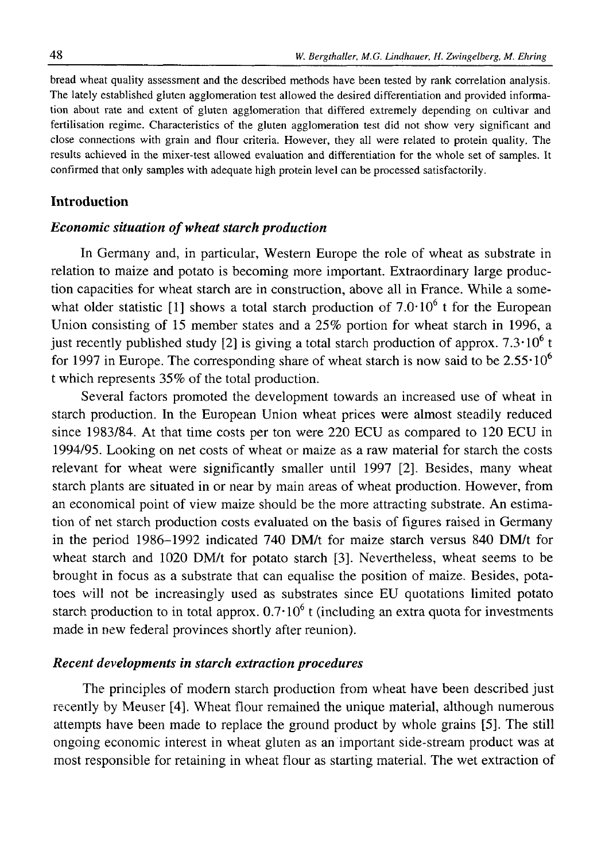bread wheat quality assessment and the described methods have been tested by rank correlation analysis. The lately established gluten agglomeration test allowed the desired differentiation and provided information about rate and extent of gluten agglomeration that differed extremely depending on cultivar and fertilisation regime. Characteristics of the gluten agglomeration test did not show very significant and close connections with grain and flour criteria. However, they all were related to protein quality. The results achieved in the mixer-test allowed evaluation and differentiation for the whole set of samples. It confirmed that only samples with adequate high protein level can be processed satisfactorily.

# **Introduction**

### *Economic situation of wheat starch production*

In Germany and, in particular, Western Europe the role of wheat as substrate in relation to maize and potato is becoming more important. Extraordinary large production capacities for wheat starch are in construction, above all in France. While a somewhat older statistic [1] shows a total starch production of  $7.0 \cdot 10^6$  t for the European Union consisting of 15 member states and a 25% portion for wheat starch in 1996, a just recently published study [2] is giving a total starch production of approx.  $7.3 \cdot 10^6$  t for 1997 in Europe. The corresponding share of wheat starch is now said to be  $2.55 \cdot 10^6$ t which represents 35% of the total production.

Several factors promoted the development towards an increased use of wheat in starch production. In the European Union wheat prices were almost steadily reduced since 1983/84. At that time costs per ton were 220 ECU as compared to 120 ECU in 1994/95. Looking on net costs of wheat or maize as a raw material for starch the costs relevant for wheat were significantly smaller until 1997 [2]. Besides, many wheat starch plants are situated in or near by main areas of wheat production. However, from an economical point of view maize should be the more attracting substrate. An estimation of net starch production costs evaluated on the basis of figures raised in Germany in the period 1986-1992 indicated 740 DM/t for maize starch versus 840 DM/t for wheat starch and 1020 DM/t for potato starch [3]. Nevertheless, wheat seems to be brought in focus as a substrate that can equalise the position of maize. Besides, potatoes will not be increasingly used as substrates since EU quotations limited potato starch production to in total approx.  $0.7 \cdot 10^6$  t (including an extra quota for investments made in new federal provinces shortly after reunion).

### *Recent developments in starch extraction procedures*

The principles of modern starch production from wheat have been described just recently by Meuser [4], Wheat flour remained the unique material, although numerous attempts have been made to replace the ground product by whole grains [5]. The still ongoing economic interest in wheat gluten as an important side-stream product was at most responsible for retaining in wheat flour as starting material. The wet extraction of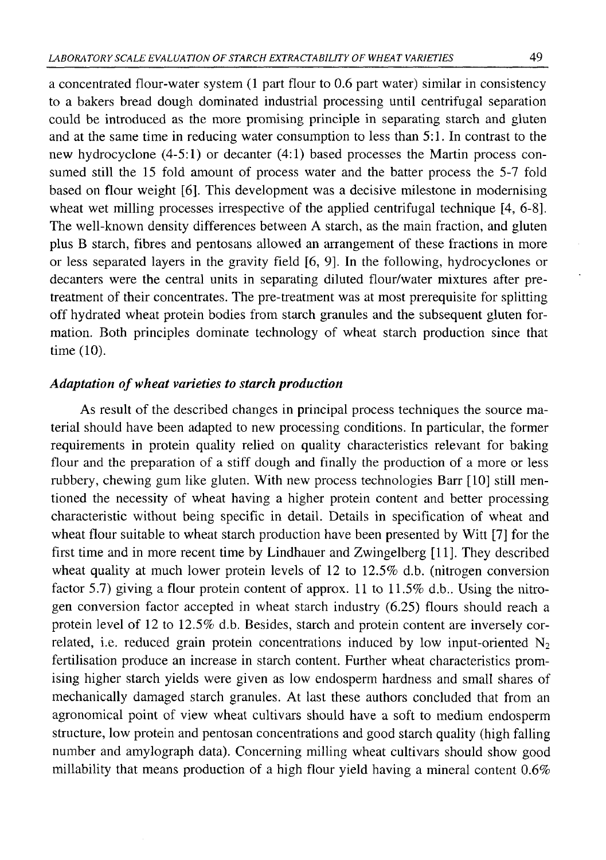a concentrated flour-water system (1 part flour to 0.6 part water) similar in consistency to a bakers bread dough dominated industrial processing until centrifugal separation could be introduced as the more promising principle in separating starch and gluten and at the same time in reducing water consumption to less than 5:1. In contrast to the new hydrocyclone (4-5:1) or decanter (4:1) based processes the Martin process consumed still the 15 fold amount of process water and the batter process the 5-7 fold based on flour weight [6]. This development was a decisive milestone in modernising wheat wet milling processes irrespective of the applied centrifugal technique [4, 6-8]. The well-known density differences between A starch, as the main fraction, and gluten plus B starch, fibres and pentosans allowed an arrangement of these fractions in more or less separated layers in the gravity field [6 , 9]. In the following, hydrocyclones or decanters were the central units in separating diluted flour/water mixtures after pretreatment of their concentrates. The pre-treatment was at most prerequisite for splitting off hydrated wheat protein bodies from starch granules and the subsequent gluten formation. Both principles dominate technology of wheat starch production since that time  $(10)$ .

# *Adaptation of wheat varieties to starch production*

As result of the described changes in principal process techniques the source material should have been adapted to new processing conditions. In particular, the former requirements in protein quality relied on quality characteristics relevant for baking flour and the preparation of a stiff dough and finally the production of a more or less rubbery, chewing gum like gluten. With new process technologies Barr [10] still mentioned the necessity of wheat having a higher protein content and better processing characteristic without being specific in detail. Details in specification of wheat and wheat flour suitable to wheat starch production have been presented by Witt [7] for the first time and in more recent time by Lindhauer and Zwingelberg [11]. They described wheat quality at much lower protein levels of 12 to 12.5% d.b. (nitrogen conversion factor 5.7) giving a flour protein content of approx. 11 to 11.5% d.b.. Using the nitrogen conversion factor accepted in wheat starch industry (6.25) flours should reach a protein level of 12 to 12.5% d.b. Besides, starch and protein content are inversely correlated, i.e. reduced grain protein concentrations induced by low input-oriented  $N_2$ fertilisation produce an increase in starch content. Further wheat characteristics promising higher starch yields were given as low endosperm hardness and small shares of mechanically damaged starch granules. At last these authors concluded that from an agronomical point of view wheat cultivars should have a soft to medium endosperm structure, low protein and pentosan concentrations and good starch quality (high falling number and amylograph data). Concerning milling wheat cultivars should show good millability that means production of a high flour yield having a mineral content  $0.6\%$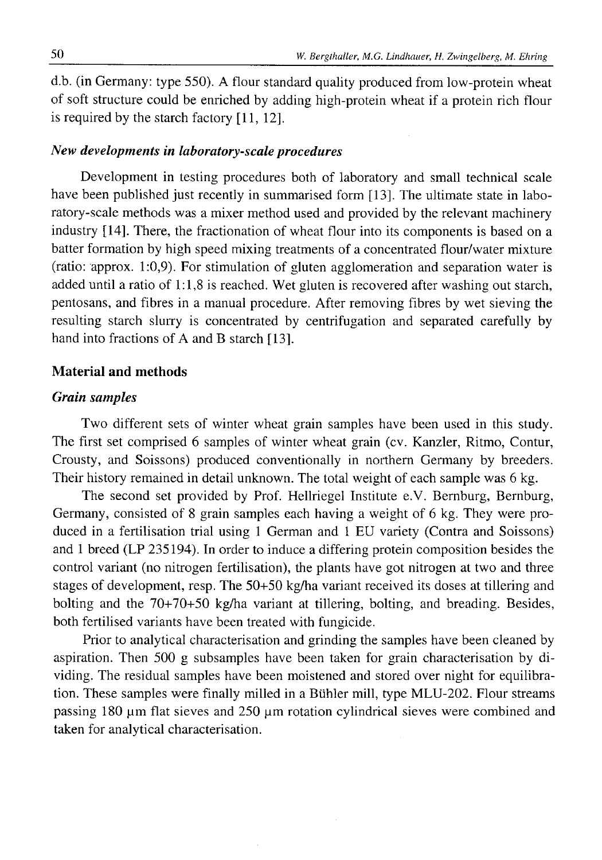d.b. (in Germany: type 550). A flour standard quality produced from low-protein wheat of soft structure could be enriched by adding high-protein wheat if a protein rich flour is required by the starch factory  $[11, 12]$ .

### *New developments in laboratory-scale procedures*

Development in testing procedures both of laboratory and small technical scale have been published just recently in summarised form [13]. The ultimate state in laboratory-scale methods was a mixer method used and provided by the relevant machinery industry [14]. There, the fractionation of wheat flour into its components is based on a batter formation by high speed mixing treatments of a concentrated flour/water mixture (ratio: approx. 1:0,9). For stimulation of gluten agglomeration and separation water is added until a ratio of 1:1,8 is reached. Wet gluten is recovered after washing out starch, pentosans, and fibres in a manual procedure. After removing fibres by wet sieving the resulting starch slurry is concentrated by centrifugation and separated carefully by hand into fractions of A and B starch [13].

#### **Material and methods**

### *Grain samples*

Two different sets of winter wheat grain samples have been used in this study. The first set comprised 6 samples of winter wheat grain (cv. Kanzler, Ritmo, Contur, Crousty, and Soissons) produced conventionally in northern Germany by breeders. Their history remained in detail unknown. The total weight of each sample was 6 kg.

The second set provided by Prof. Hellriegel Institute e.V. Bernburg, Bernburg, Germany, consisted of 8 grain samples each having a weight of 6 kg. They were produced in a fertilisation trial using 1 German and 1 EU variety (Contra and Soissons) and 1 breed (LP 235194). In order to induce a differing protein composition besides the control variant (no nitrogen fertilisation), the plants have got nitrogen at two and three stages of development, resp. The 50+50 kg/ha variant received its doses at tillering and bolting and the 70+70+50 kg/ha variant at tillering, bolting, and breading. Besides, both fertilised variants have been treated with fungicide.

Prior to analytical characterisation and grinding the samples have been cleaned by aspiration. Then 500 g subsamples have been taken for grain characterisation by dividing. The residual samples have been moistened and stored over night for equilibration. These samples were finally milled in a Buhler mill, type MLU-202. Flour streams passing 180  $\mu$ m flat sieves and 250  $\mu$ m rotation cylindrical sieves were combined and taken for analytical characterisation.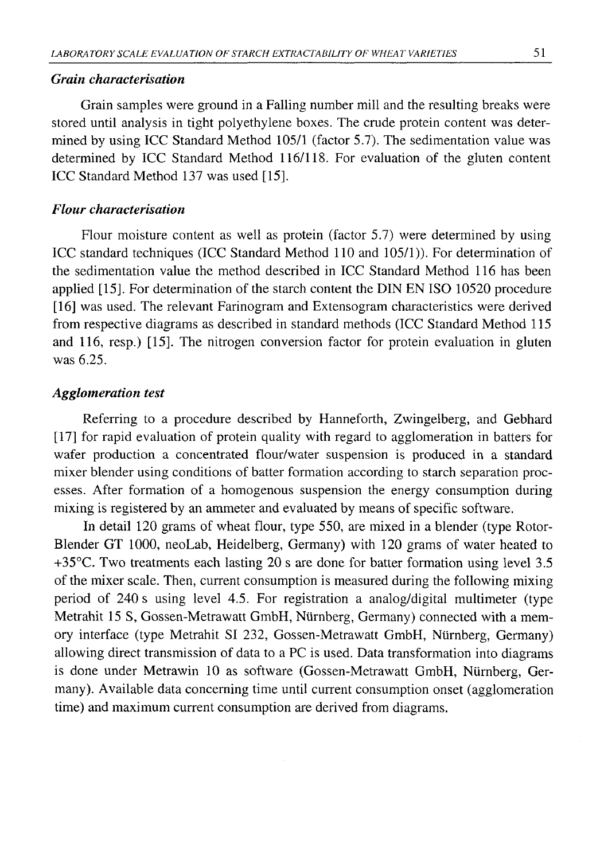# *Grain characterisation*

Grain samples were ground in a Falling number mill and the resulting breaks were stored until analysis in tight polyethylene boxes. The crude protein content was determined by using ICC Standard Method 105/1 (factor 5.7). The sedimentation value was determined by ICC Standard Method 116/118. For evaluation of the gluten content ICC Standard Method 137 was used [15].

### *Flour characterisation*

Flour moisture content as well as protein (factor 5.7) were determined by using ICC standard techniques (ICC Standard Method 110 and 105/1)). For determination of the sedimentation value the method described in ICC Standard Method 116 has been applied [15]. For determination of the starch content the DIN EN ISO 10520 procedure [16] was used. The relevant Farinogram and Extensogram characteristics were derived from respective diagrams as described in standard methods (ICC Standard Method 115 and 116, resp.) [15]. The nitrogen conversion factor for protein evaluation in gluten was 6.25.

### *Agglomeration test*

Referring to a procedure described by Hanneforth, Zwingelberg, and Gebhard [17] for rapid evaluation of protein quality with regard to agglomeration in batters for wafer production a concentrated flour/water suspension is produced in a standard mixer blender using conditions of batter formation according to starch separation processes. After formation of a homogenous suspension the energy consumption during mixing is registered by an ammeter and evaluated by means of specific software.

In detail 120 grams of wheat flour, type 550, are mixed in a blender (type Rotor-Blender GT 1000, neoLab, Heidelberg, Germany) with 120 grams of water heated to +35°C. Two treatments each lasting 20 s are done for batter formation using level 3.5 of the mixer scale. Then, current consumption is measured during the following mixing period of 240 s using level 4.5. For registration a analog/digital multimeter (type Metrahit 15 S, Gossen-Metrawatt GmbH, Niirnberg, Germany) connected with a memory interface (type Metrahit SI 232, Gossen-Metrawatt GmbH, Niirnberg, Germany) allowing direct transmission of data to a PC is used. Data transformation into diagrams is done under Metrawin 10 as software (Gossen-Metrawatt GmbH, Niirnberg, Germany). Available data concerning time until current consumption onset (agglomeration time) and maximum current consumption are derived from diagrams.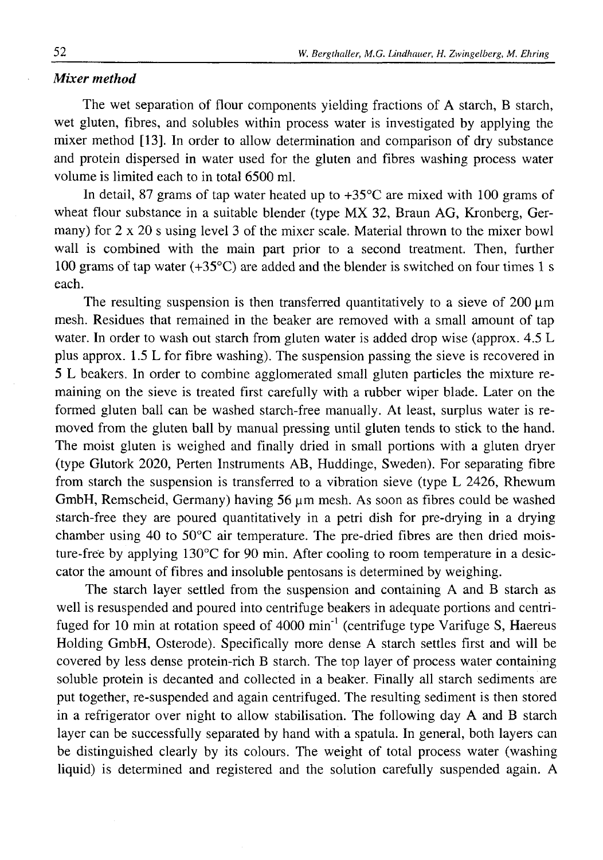#### *Mixer method*

The wet separation of flour components yielding fractions of A starch, B starch, wet gluten, fibres, and solubles within process water is investigated by applying the mixer method [13]. In order to allow determination and comparison of dry substance and protein dispersed in water used for the gluten and fibres washing process water volume is limited each to in total 6500 ml.

In detail, 87 grams of tap water heated up to  $+35^{\circ}$ C are mixed with 100 grams of wheat flour substance in a suitable blender (type MX 32, Braun AG, Kronberg, Germany) for 2 x 20 s using level 3 of the mixer scale. Material thrown to the mixer bowl wall is combined with the main part prior to a second treatment. Then, further 100 grams of tap water  $(+35^{\circ}C)$  are added and the blender is switched on four times 1 s each.

The resulting suspension is then transferred quantitatively to a sieve of  $200 \mu m$ mesh. Residues that remained in the beaker are removed with a small amount of tap water. In order to wash out starch from gluten water is added drop wise (approx. 4.5 L plus approx. 1.5 L for fibre washing). The suspension passing the sieve is recovered in 5 L beakers. In order to combine agglomerated small gluten particles the mixture remaining on the sieve is treated first carefully with a rubber wiper blade. Later on the formed gluten ball can be washed starch-free manually. At least, surplus water is removed from the gluten ball by manual pressing until gluten tends to stick to the hand. The moist gluten is weighed and finally dried in small portions with a gluten dryer (type Glutork 2020, Perten Instruments AB, Huddinge, Sweden). For separating fibre from starch the suspension is transferred to a vibration sieve (type L 2426, Rhewum GmbH, Remscheid, Germany) having 56  $\mu$ m mesh. As soon as fibres could be washed starch-free they are poured quantitatively in a petri dish for pre-drying in a drying chamber using 40 to  $50^{\circ}$ C air temperature. The pre-dried fibres are then dried moisture-free by applying  $130^{\circ}$ C for 90 min. After cooling to room temperature in a desiccator the amount of fibres and insoluble pentosans is determined by weighing.

The starch layer settled from the suspension and containing A and B starch as well is resuspended and poured into centrifuge beakers in adequate portions and centrifuged for 10 min at rotation speed of  $4000 \text{ min}^{-1}$  (centrifuge type Varifuge S, Haereus Holding GmbH, Osterode). Specifically more dense A starch settles first and will be covered by less dense protein-rich B starch. The top layer of process water containing soluble protein is decanted and collected in a beaker. Finally all starch sediments are put together, re-suspended and again centrifuged. The resulting sediment is then stored in a refrigerator over night to allow stabilisation. The following day A and B starch layer can be successfully separated by hand with a spatula. In general, both layers can be distinguished clearly by its colours. The weight of total process water (washing liquid) is determined and registered and the solution carefully suspended again. A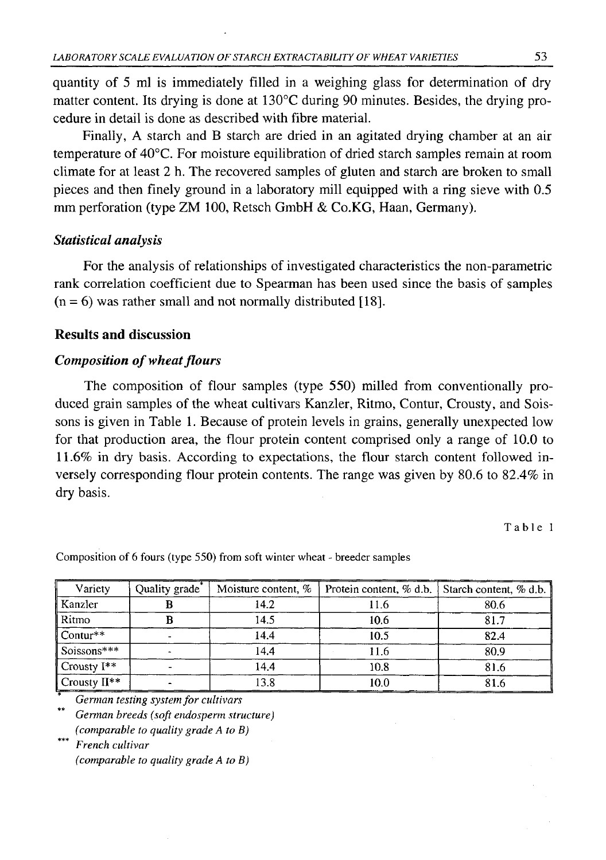quantity of 5 ml is immediately filled in a weighing glass for determination of dry matter content. Its drying is done at 130°C during 90 minutes. Besides, the drying procedure in detail is done as described with fibre material.

Finally, A starch and B starch are dried in an agitated drying chamber at an air temperature of 40°C. For moisture equilibration of dried starch samples remain at room climate for at least 2 h. The recovered samples of gluten and starch are broken to small pieces and then finely ground in a laboratory mill equipped with a ring sieve with 0.5 mm perforation (type ZM 100, Retsch GmbH & Co.KG, Haan, Germany).

# *Statistical analysis*

For the analysis of relationships of investigated characteristics the non-parametric rank correlation coefficient due to Spearman has been used since the basis of samples  $(n = 6)$  was rather small and not normally distributed [18].

# **Results and discussion**

# *Composition of wheat flours*

The composition of flour samples (type 550) milled from conventionally produced grain samples of the wheat cultivars Kanzler, Ritmo, Contur, Crousty, and Soissons is given in Table 1. Because of protein levels in grains, generally unexpected low for that production area, the flour protein content comprised only a range of  $10.0$  to 11.6% in dry basis. According to expectations, the flour starch content followed inversely corresponding flour protein contents. The range was given by 80.6 to 82.4% in dry basis.

Table 1

| Variety                  | Quality grade <sup>-</sup> | Moisture content, % |      | Protein content, % d.b.   Starch content, % d.b. |  |  |
|--------------------------|----------------------------|---------------------|------|--------------------------------------------------|--|--|
| Kanzler                  |                            | 14.2                | 11.6 | 80.6                                             |  |  |
| Ritmo                    |                            | 14.5                | 10.6 | 81.7                                             |  |  |
| $\vert$ Contur**         |                            | 14.4                | 10.5 | 82.4                                             |  |  |
| Soissons***              |                            | 14.4                | 11.6 | 80.9                                             |  |  |
| $\mathbb{C}$ rousty I**  |                            | 14.4                | 10.8 | 81.6                                             |  |  |
| $\mathbb{C}$ rousty II** |                            | 13.8                | 10.0 | 81.6                                             |  |  |

Composition of 6 fours (type 550) from soft winter wheat - breeder samples

*German testing system for cultivars German breeds (soft endosperm structure) (comparable to quality grade A to B)*

*French cultivar (comparable to quality grade A to B)*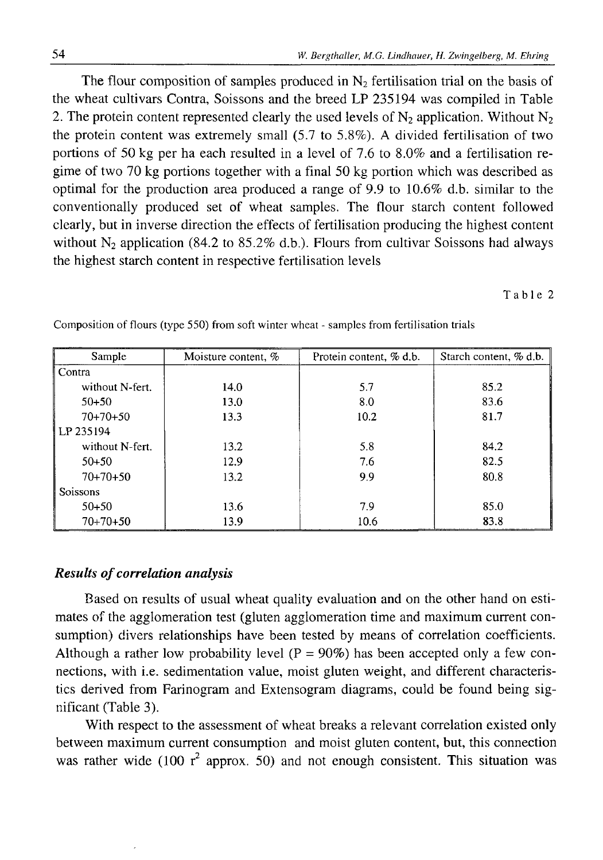The flour composition of samples produced in  $N_2$  fertilisation trial on the basis of the wheat cultivars Contra, Soissons and the breed LP 235194 was compiled in Table 2. The protein content represented clearly the used levels of  $N_2$  application. Without  $N_2$ the protein content was extremely small (5.7 to 5.8%). A divided fertilisation of two portions of 50 kg per ha each resulted in a level of 7.6 to 8.0% and a fertilisation regime of two 70 kg portions together with a final 50 kg portion which was described as optimal for the production area produced a range of 9.9 to 10.6% d.b. similar to the conventionally produced set of wheat samples. The flour starch content followed clearly, but in inverse direction the effects of fertilisation producing the highest content without  $N_2$  application (84.2 to 85.2% d.b.). Flours from cultivar Soissons had always the highest starch content in respective fertilisation levels

Table 2

| Sample          | Moisture content, % | Protein content, % d.b. | Starch content, % d.b. |  |  |
|-----------------|---------------------|-------------------------|------------------------|--|--|
| Contra          |                     |                         |                        |  |  |
| without N-fert. | 14.0                | 5.7                     | 85.2                   |  |  |
| $50+50$         | 13.0                | 8.0                     | 83.6                   |  |  |
| $70+70+50$      | 13.3                | 10.2                    | 81.7                   |  |  |
| LP 235194       |                     |                         |                        |  |  |
| without N-fert. | 13.2                | 5.8                     | 84.2                   |  |  |
| $50+50$         | 12.9                | 7.6                     | 82.5                   |  |  |
| $70+70+50$      | 13.2                | 9.9                     | 80.8                   |  |  |
| Soissons        |                     |                         |                        |  |  |
| $50 + 50$       | 13.6                | 7.9                     | 85.0                   |  |  |
| $70+70+50$      | 13.9                | 10.6                    | 83.8                   |  |  |

Composition of flours (type 550) from soft winter wheat - samples from fertilisation trials

# *Results of correlation analysis*

Based on results of usual wheat quality evaluation and on the other hand on estimates of the agglomeration test (gluten agglomeration time and maximum current consumption) divers relationships have been tested by means of correlation coefficients. Although a rather low probability level  $(P = 90\%)$  has been accepted only a few connections, with i.e. sedimentation value, moist gluten weight, and different characteristics derived from Farinogram and Extensogram diagrams, could be found being significant (Table 3).

With respect to the assessment of wheat breaks a relevant correlation existed only between maximum current consumption and moist gluten content, but, this connection was rather wide (100  $r^2$  approx. 50) and not enough consistent. This situation was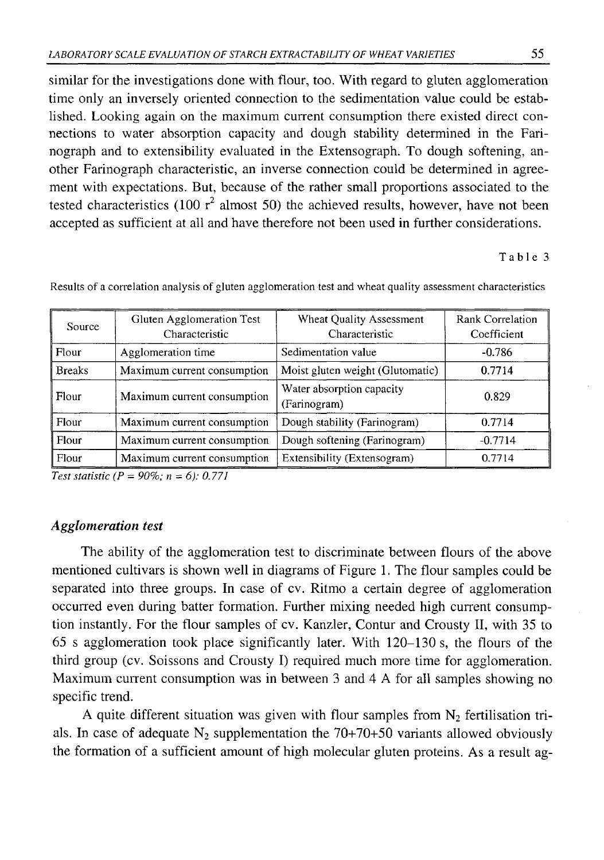similar for the investigations done with flour, too. With regard to gluten agglomeration time only an inversely oriented connection to the sedimentation value could be established. Looking again on the maximum current consumption there existed direct connections to water absorption capacity and dough stability determined in the Farinograph and to extensibility evaluated in the Extensograph. To dough softening, another Farinograph characteristic, an inverse connection could be determined in agreement with expectations. But, because of the rather small proportions associated to the tested characteristics (100  $r^2$  almost 50) the achieved results, however, have not been accepted as sufficient at all and have therefore not been used in further considerations.

# Table 3

| Source        | Gluten Agglomeration Test<br>Characteristic | Wheat Quality Assessment<br>Characteristic | Rank Correlation<br>Coefficient |
|---------------|---------------------------------------------|--------------------------------------------|---------------------------------|
| Flour         | Agglomeration time                          | Sedimentation value                        | $-0.786$                        |
| <b>Breaks</b> | Maximum current consumption                 | Moist gluten weight (Glutomatic)           | 0.7714                          |
| Flour         | Maximum current consumption                 | Water absorption capacity<br>(Farinogram)  | 0.829                           |
| Flour         | Maximum current consumption                 | Dough stability (Farinogram)               | 0.7714                          |
| Flour         | Maximum current consumption                 | Dough softening (Farinogram)               | $-0.7714$                       |
| Flour         | Maximum current consumption                 | Extensibility (Extensogram)                | 0.7714                          |

Results of a correlation analysis of gluten agglomeration test and wheat quality assessment characteristics

*Test statistic (P = 90%; n* **=** *6): 0.771*

# *Agglomeration test*

The ability of the agglomeration test to discriminate between flours of the above mentioned cultivars is shown well in diagrams of Figure 1. The flour samples could be separated into three groups. In case of cv. Ritmo a certain degree of agglomeration occurred even during batter formation. Further mixing needed high current consumption instantly. For the flour samples of cv. Kanzler, Contur and Crousty II, with 35 to 65 s agglomeration took place significantly later. With 120-130 s, the flours of the third group (cv. Soissons and Crousty I) required much more time for agglomeration. Maximum current consumption was in between 3 and 4 A for all samples showing no specific trend.

A quite different situation was given with flour samples from  $N_2$  fertilisation trials. In case of adequate  $N_2$  supplementation the 70+70+50 variants allowed obviously the formation of a sufficient amount of high molecular gluten proteins. As a result ag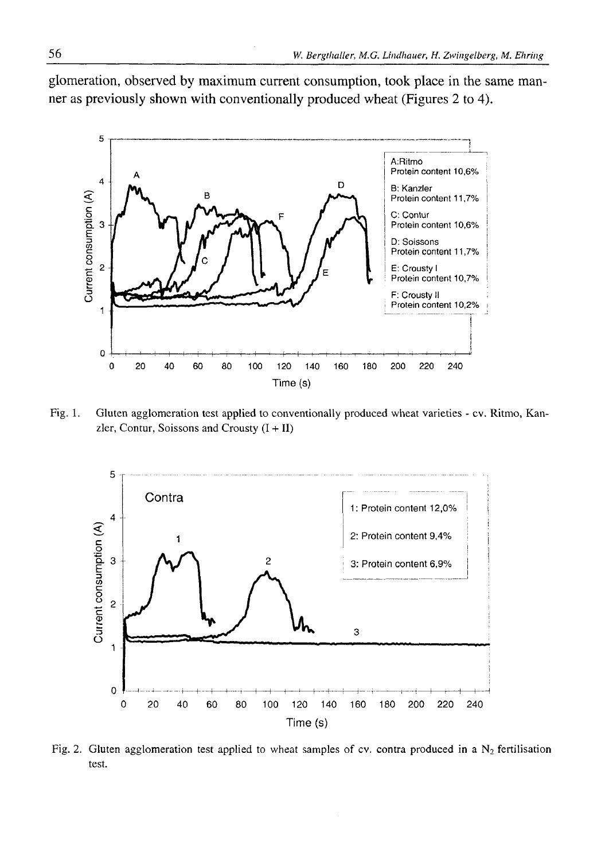glomeration, observed by maximum current consumption, took place in the same manner as previously shown with conventionally produced wheat (Figures 2 to 4).



Fig. 1. Gluten agglomeration test applied to conventionally produced wheat varieties - cv. Ritmo, Kanzler, Contur, Soissons and Crousty  $(I + II)$ 



Fig. 2. Gluten agglomeration test applied to wheat samples of cv. contra produced in a  $N_2$  fertilisation test.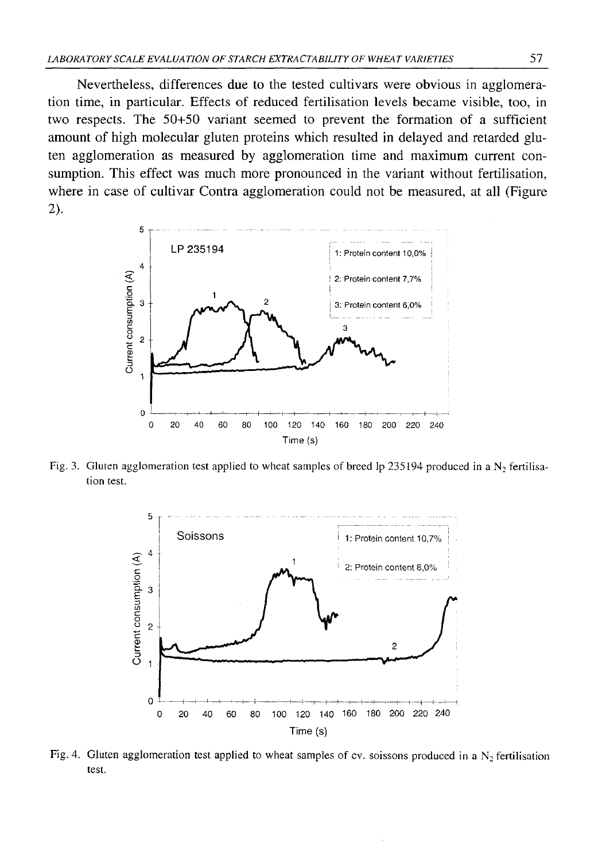Nevertheless, differences due to the tested cultivars were obvious in agglomeration time, in particular. Effects of reduced fertilisation levels became visible, too, in two respects. The 50+50 variant seemed to prevent the formation of a sufficient amount of high molecular gluten proteins which resulted in delayed and retarded gluten agglomeration as measured by agglomeration time and maximum current consumption. This effect was much more pronounced in the variant without fertilisation, where in case of cultivar Contra agglomeration could not be measured, at all (Figure 2**).**



Fig. 3. Gluten agglomeration test applied to wheat samples of breed lp 235194 produced in a  $N_2$  fertilisation test.



Fig. 4. Gluten agglomeration test applied to wheat samples of cv. soissons produced in a  $N_2$  fertilisation test.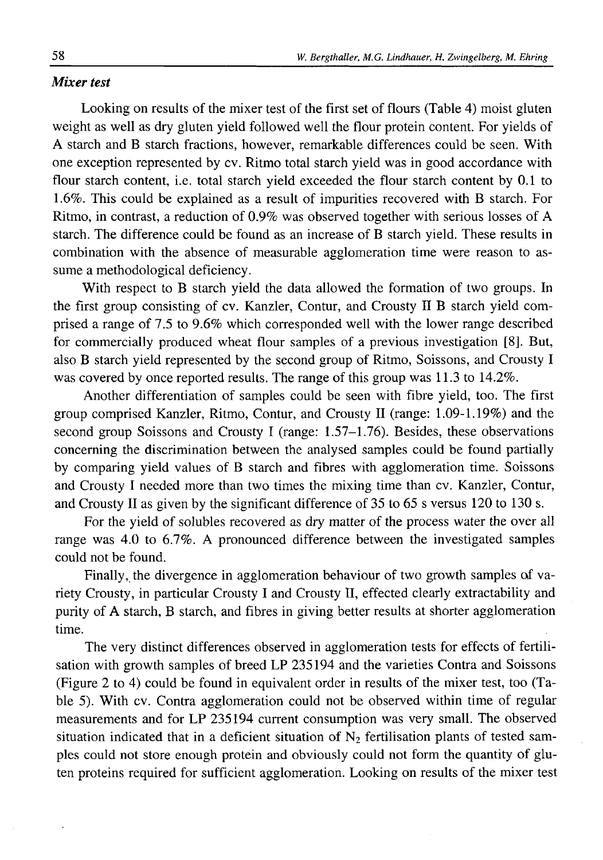### *Mixer test*

Looking on results of the mixer test of the first set of flours (Table 4) moist gluten weight as well as dry gluten yield followed well the flour protein content. For yields of A starch and B starch fractions, however, remarkable differences could be seen. With one exception represented by cv. Ritmo total starch yield was in good accordance with flour starch content, i.e. total starch yield exceeded the flour starch content by 0.1 to 1.6%. This could be explained as a result of impurities recovered with B starch. For Ritmo, in contrast, a reduction of 0.9% was observed together with serious losses of A starch. The difference could be found as an increase of B starch yield. These results in combination with the absence of measurable agglomeration time were reason to assume a methodological deficiency.

With respect to B starch yield the data allowed the formation of two groups. In the first group consisting of cv. Kanzler, Contur, and Crousty II B starch yield comprised a range of 7.5 to 9.6% which corresponded well with the lower range described for commercially produced wheat flour samples of a previous investigation [8]. But, also B starch yield represented by the second group of Ritmo, Soissons, and Crousty I was covered by once reported results. The range of this group was 11.3 to 14.2%.

Another differentiation of samples could be seen with fibre yield, too. The first group comprised Kanzler, Ritmo, Contur, and Crousty II (range: 1.09-1.19%) and the second group Soissons and Crousty I (range: 1.57–1.76). Besides, these observations concerning the discrimination between the analysed samples could be found partially by comparing yield values of B starch and fibres with agglomeration time. Soissons and Crousty I needed more than two times the mixing time than cv. Kanzler, Contur, and Crousty II as given by the significant difference of 35 to 65 s versus 120 to 130 s.

For the yield of solubles recovered as dry matter of the process water the over all range was 4.0 to 6.7%. A pronounced difference between the investigated samples could not be found.

Finally, the divergence in agglomeration behaviour of two growth samples of variety Crousty, in particular Crousty I and Crousty II, effected clearly extractability and purity of A starch, B starch, and fibres in giving better results at shorter agglomeration time.

The very distinct differences observed in agglomeration tests for effects of fertilisation with growth samples of breed LP 235194 and the varieties Contra and Soissons (Figure 2 to 4) could be found in equivalent order in results of the mixer test, too (Table 5). With cv. Contra agglomeration could not be observed within time of regular measurements and for LP 235194 current consumption was very small. The observed situation indicated that in a deficient situation of  $N_2$  fertilisation plants of tested samples could not store enough protein and obviously could not form the quantity of gluten proteins required for sufficient agglomeration. Looking on results of the mixer test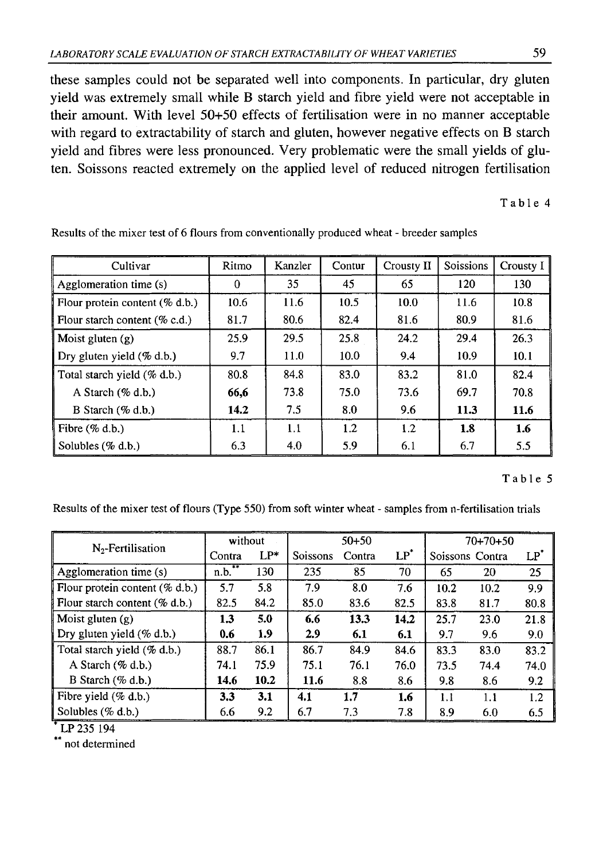these samples could not be separated well into components. In particular, dry gluten yield was extremely small while B starch yield and fibre yield were not acceptable in their amount. With level 50+50 effects of fertilisation were in no manner acceptable with regard to extractability of starch and gluten, however negative effects on B starch yield and fibres were less pronounced. Very problematic were the small yields of gluten. Soissons reacted extremely on the applied level of reduced nitrogen fertilisation

Table 4

| Cultivar                          | Ritmo | Kanzler | Contur | Crousty II | Soissions | Crousty I |
|-----------------------------------|-------|---------|--------|------------|-----------|-----------|
| Agglomeration time (s)            | 0     | 35      | 45     | 65         | 120       | 130       |
| Flour protein content $(\%$ d.b.) | 10.6  | 11.6    | 10.5   | 10.0       | 11.6      | 10.8      |
| Flour starch content $(\%$ c.d.)  | 81.7  | 80.6    | 82.4   | 81.6       | 80.9      | 81.6      |
| Moist gluten $(g)$                | 25.9  | 29.5    | 25.8   | 24.2       | 29.4      | 26.3      |
| Dry gluten yield (% d.b.)         | 9.7   | 11.0    | 10.0   | 9.4        | 10.9      | 10.1      |
| Total starch yield (% d.b.)       | 80.8  | 84.8    | 83.0   | 83.2       | 81.0      | 82.4      |
| A Starch $(\%$ d.b.)              | 66,6  | 73.8    | 75.0   | 73.6       | 69.7      | 70.8      |
| B Starch $(\%$ d.b.)              | 14.2  | 7.5     | 80     | 9.6        | 11.3      | 11.6      |
| Fibre $(\%$ d.b.)                 | 1.1   | 1.1     | 1.2    | 1.2        | 1.8       | 1.6       |
| Solubles $(\%$ d.b.)              | 6.3   | 4.0     | 5.9    | 6.1        | 6.7       | 5.5       |

Results of the mixer test of 6 flours from conventionally produced wheat - breeder samples

### Table 5

Results of the mixer test of flours (Type 550) from soft winter wheat - samples from n-fertilisation trials

|                                   | without     |        | $50+50$  |        |        | $70+70+50$ |                 |        |
|-----------------------------------|-------------|--------|----------|--------|--------|------------|-----------------|--------|
| $N2$ -Fertilisation               | Contra      | $LP^*$ | Soissons | Contra | $LP^*$ |            | Soissons Contra | $LP^*$ |
| Agglomeration time (s)            | $*$<br>n.b. | 130    | 235      | 85     | 70     | 65         | 20              | 25     |
| Flour protein content $(\%$ d.b.) | 5.7         | 5.8    | 7.9      | 8.0    | 7.6    | 10.2       | 10.2            | 9.9    |
| Flour starch content $(\%$ d.b.)  | 82.5        | 84.2   | 85.0     | 83.6   | 82.5   | 83.8       | 81.7            | 80.8   |
| Moist gluten $(g)$                | 1.3         | 5.0    | 6.6      | 13.3   | 14.2   | 25.7       | 23.0            | 21.8   |
| Dry gluten yield (% d.b.)         | 0.6         | 1.9    | 2.9      | 6.1    | 6.1    | 9.7        | 9.6             | 9.0    |
| Total starch yield (% d.b.)       | 88.7        | 86.1   | 86.7     | 84.9   | 84.6   | 83.3       | 83.0            | 83.2   |
| A Starch (% d.b.)                 | 74.1        | 75.9   | 75.1     | 76.1   | 76.0   | 73.5       | 74.4            | 74.0   |
| B Starch $(\%$ d.b.)              | 14.6        | 10.2   | 11.6     | 8.8    | 8.6    | 9.8        | 8.6             | 9.2    |
| Fibre yield $(\%$ d.b.)           | 3.3         | 3.1    | 4.1      | 1.7    | 1.6    | 1.1        | 1.1             | 1.2    |
| Solubles $(\% d.b.)$              | 6.6         | 9.2    | 6.7      | 7.3    | 7.8    | 8.9        | 6.0             | 6.5    |

LP 235 194

\*\* not determined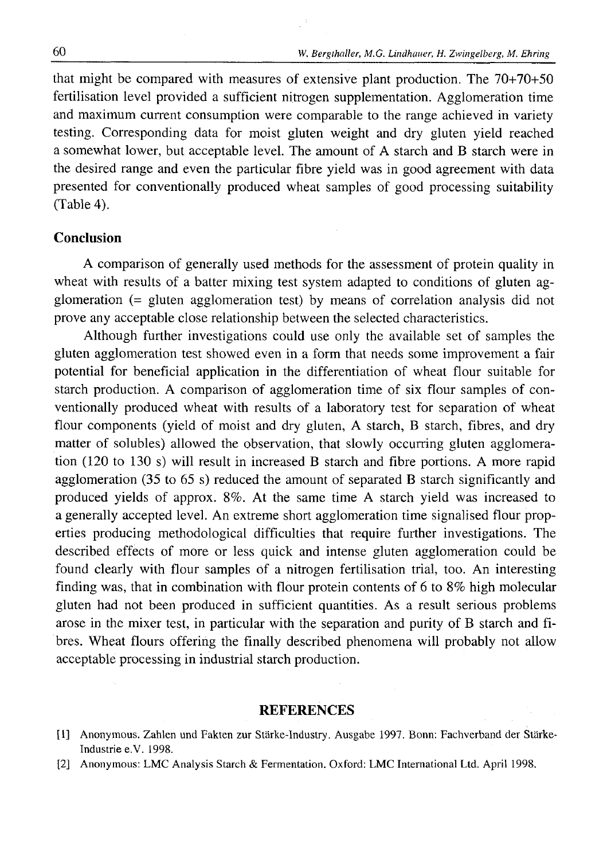that might be compared with measures of extensive plant production. The 70+70+50 fertilisation level provided a sufficient nitrogen supplementation. Agglomeration time and maximum current consumption were comparable to the range achieved in variety testing. Corresponding data for moist gluten weight and dry gluten yield reached a somewhat lower, but acceptable level. The amount of A starch and B starch were in the desired range and even the particular fibre yield was in good agreement with data presented for conventionally produced wheat samples of good processing suitability (Table 4).

### **Conclusion**

A comparison of generally used methods for the assessment of protein quality in wheat with results of a batter mixing test system adapted to conditions of gluten agglomeration (= gluten agglomeration test) by means of correlation analysis did not prove any acceptable close relationship between the selected characteristics.

Although further investigations could use only the available set of samples the gluten agglomeration test showed even in a form that needs some improvement a fair potential for beneficial application in the differentiation of wheat flour suitable for starch production. A comparison of agglomeration time of six flour samples of conventionally produced wheat with results of a laboratory test for separation of wheat flour components (yield of moist and dry gluten, A starch, B starch, fibres, and dry matter of solubles) allowed the observation, that slowly occurring gluten agglomeration (120 to 130 s) will result in increased B starch and fibre portions. A more rapid agglomeration (35 to 65 s) reduced the amount of separated B starch significantly and produced yields of approx. 8%. At the same time A starch yield was increased to a generally accepted level. An extreme short agglomeration time signalised flour properties producing methodological difficulties that require further investigations. The described effects of more or less quick and intense gluten agglomeration could be found clearly with flour samples of a nitrogen fertilisation trial, too. An interesting finding was, that in combination with flour protein contents of  $6$  to  $8\%$  high molecular gluten had not been produced in sufficient quantities. As a result serious problems arose in the mixer test, in particular with the separation and purity of B starch and fibres. Wheat flours offering the finally described phenomena will probably not allow acceptable processing in industrial starch production.

#### **REFERENCES**

<sup>[1]</sup> Anonymous. Zahlen und Fakten zur Stärke-Industry. Ausgabe 1997. Bonn: Fachverband der Stärke-Industrie e.V. 1998.

<sup>[2]</sup> Anonymous: LMC Analysis Starch & Fermentation. Oxford: LMC International Ltd. April 1998.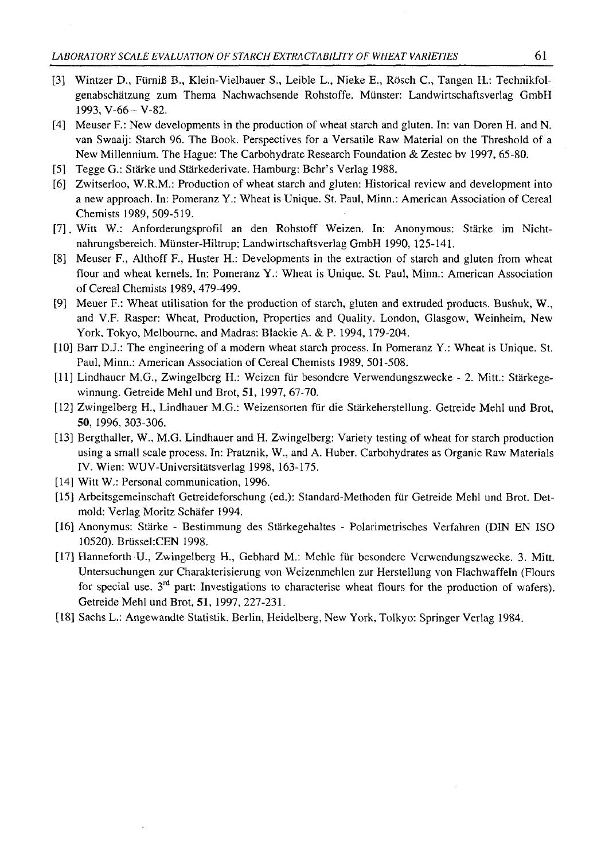- [3] Wintzer D., FiirniB B., Klein-Vielhauer S., Leible L., Nieke E., Rosch C., Tangen H.: Technikfolgenabschätzung zum Thema Nachwachsende Rohstoffe. Munster: Landwirtschaftsverlag GmbH 1993, V-66 - V-82.
- [4] Meuser F.: New developments in the production of wheat starch and gluten. In: van Doren H. and N. van Swaaij: Starch 96. The Book. Perspectives for a Versatile Raw Material on the Threshold of a New Millennium. The Hague: The Carbohydrate Research Foundation & Zestec bv 1997, 65-80.
- [5] Tegge G.: Stärke und Stärkederivate. Hamburg: Behr's Verlag 1988.
- [6] Zwitserloo, W.R.M.: Production of wheat starch and gluten: Historical review and development into a new approach. In: Pomeranz Y.: Wheat is Unique. St. Paul, Minn.: American Association of Cereal Chemists 1989, 509-519.
- [7]. Witt W.: Anforderungsprofil an den Rohstoff Weizen. In: Anonymous: Stärke im Nichtnahrungsbereich. Miinster-Hiltrup: Landwirtschaftsverlag GmbH 1990, 125-141.
- [8] Meuser F., Althoff F., Huster H.: Developments in the extraction of starch and gluten from wheat flour and wheat kernels. In: Pomeranz Y.: Wheat is Unique. St. Paul, Minn.: American Association of Cereal Chemists 1989, 479-499.
- [9] Meuer F.: Wheat utilisation for the production of starch, gluten and extruded products. Bushuk, W., and V.F. Rasper: Wheat, Production, Properties and Quality. London, Glasgow, Weinheim, New York, Tokyo, Melbourne, and Madras: Blackie A. & P. 1994, 179-204.
- [10] Barr D.J.: The engineering of a modern wheat starch process. In Pomeranz Y.: Wheat is Unique. St. Paul, Minn.: American Association of Cereal Chemists 1989, 501-508.
- [11] Lindhauer M.G., Zwingelberg H.: Weizen fur besondere Verwendungszwecke 2. Mitt.: Stärkegewinnung. Getreide Mehl und Brot, 51, 1997, 67-70.
- [12] Zwingelberg H., Lindhauer M.G.: Weizensorten ftir die Stärkeherstellung. Getreide Mehl und Brot, **50,** 1996, 303-306.
- [13] Bergthaller, W., M.G. Lindhauer and H. Zwingelberg: Variety testing of wheat for starch production using a small scale process. In: Pratznik, W., and A. Huber. Carbohydrates as Organic Raw Materials IV. Wien: WUV-Universitätsverlag 1998, 163-175.
- [14] Witt W.: Personal communication, 1996.
- [15] Arbeitsgemeinschaft Getreideforschung (ed.): Standard-Methoden filr Getreide Mehl und Brot. Detmold: Verlag Moritz Schafer 1994.
- [16] Anonymus: Stärke Bestimmung des Stärkegehaltes Polarimetrisches Verfahren (DIN EN ISO 10520). Brüssel:CEN 1998.
- [17] Hanneforth U., Zwingelberg H., Gebhard M.: Mehle fiir besondere Verwendungszwecke. 3. Mitt. Untersuchungen zur Charakterisierung von Weizenmehlen zur Herstellung von Flachwaffeln (Flours for special use.  $3<sup>rd</sup>$  part: Investigations to characterise wheat flours for the production of wafers). Getreide Mehl und Brot, 51, 1997, 227-231.
- [18] Sachs L.: Angewandte Štatistik. Berlin, Heidelberg, New York, Tolkyo: Springer Verlag 1984.